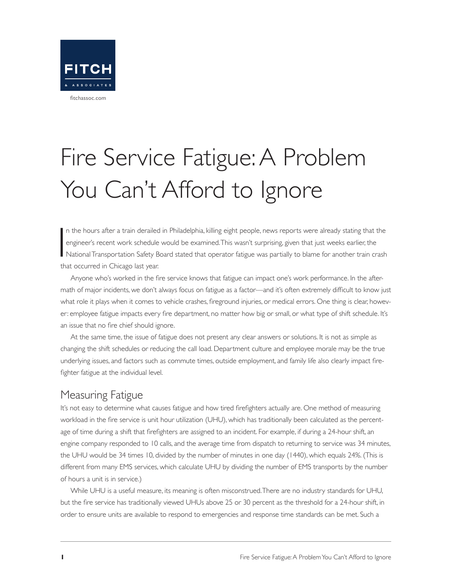

# Fire Service Fatigue: A Problem You Can't Afford to Ignore

 $\overline{\mathbf{I}}$ n the hours after a train derailed in Philadelphia, killing eight people, news reports were already stating that the engineer's recent work schedule would be examined. This wasn't surprising, given that just weeks earlier, the National Transportation Safety Board stated that operator fatigue was partially to blame for another train crash that occurred in Chicago last year.

Anyone who's worked in the fire service knows that fatigue can impact one's work performance. In the aftermath of major incidents, we don't always focus on fatigue as a factor—and it's often extremely difficult to know just what role it plays when it comes to vehicle crashes, fireground injuries, or medical errors. One thing is clear, however: employee fatigue impacts every fire department, no matter how big or small, or what type of shift schedule. It's an issue that no fire chief should ignore.

At the same time, the issue of fatigue does not present any clear answers or solutions. It is not as simple as changing the shift schedules or reducing the call load. Department culture and employee morale may be the true underlying issues, and factors such as commute times, outside employment, and family life also clearly impact firefighter fatigue at the individual level.

#### Measuring Fatigue

It's not easy to determine what causes fatigue and how tired firefighters actually are. One method of measuring workload in the fire service is unit hour utilization (UHU), which has traditionally been calculated as the percentage of time during a shift that firefighters are assigned to an incident. For example, if during a 24-hour shift, an engine company responded to 10 calls, and the average time from dispatch to returning to service was 34 minutes, the UHU would be 34 times 10, divided by the number of minutes in one day (1440), which equals 24%. (This is different from many EMS services, which calculate UHU by dividing the number of EMS transports by the number of hours a unit is in service.)

While UHU is a useful measure, its meaning is often misconstrued. There are no industry standards for UHU, but the fire service has traditionally viewed UHUs above 25 or 30 percent as the threshold for a 24-hour shift, in order to ensure units are available to respond to emergencies and response time standards can be met. Such a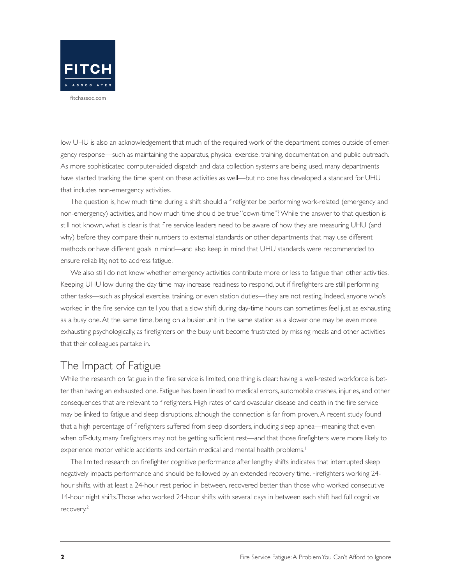

low UHU is also an acknowledgement that much of the required work of the department comes outside of emergency response—such as maintaining the apparatus, physical exercise, training, documentation, and public outreach. As more sophisticated computer-aided dispatch and data collection systems are being used, many departments have started tracking the time spent on these activities as well—but no one has developed a standard for UHU that includes non-emergency activities.

The question is, how much time during a shift should a firefighter be performing work-related (emergency and non-emergency) activities, and how much time should be true "down-time"? While the answer to that question is still not known, what is clear is that fire service leaders need to be aware of how they are measuring UHU (and why) before they compare their numbers to external standards or other departments that may use different methods or have different goals in mind—and also keep in mind that UHU standards were recommended to ensure reliability, not to address fatigue.

We also still do not know whether emergency activities contribute more or less to fatigue than other activities. Keeping UHU low during the day time may increase readiness to respond, but if firefighters are still performing other tasks—such as physical exercise, training, or even station duties—they are not resting. Indeed, anyone who's worked in the fire service can tell you that a slow shift during day-time hours can sometimes feel just as exhausting as a busy one. At the same time, being on a busier unit in the same station as a slower one may be even more exhausting psychologically, as firefighters on the busy unit become frustrated by missing meals and other activities that their colleagues partake in.

#### The Impact of Fatigue

While the research on fatigue in the fire service is limited, one thing is clear: having a well-rested workforce is better than having an exhausted one. Fatigue has been linked to medical errors, automobile crashes, injuries, and other consequences that are relevant to firefighters. High rates of cardiovascular disease and death in the fire service may be linked to fatigue and sleep disruptions, although the connection is far from proven. A recent study found that a high percentage of firefighters suffered from sleep disorders, including sleep apnea—meaning that even when off-duty, many firefighters may not be getting sufficient rest—and that those firefighters were more likely to experience motor vehicle accidents and certain medical and mental health problems.<sup>1</sup>

The limited research on firefighter cognitive performance after lengthy shifts indicates that interrupted sleep negatively impacts performance and should be followed by an extended recovery time. Firefighters working 24 hour shifts, with at least a 24-hour rest period in between, recovered better than those who worked consecutive 14-hour night shifts. Those who worked 24-hour shifts with several days in between each shift had full cognitive recovery.<sup>2</sup>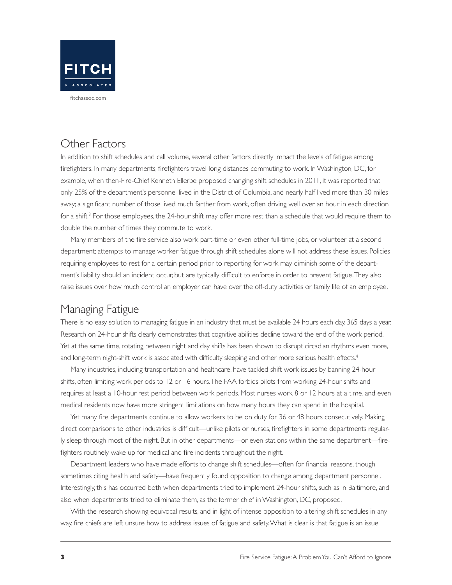

### Other Factors

In addition to shift schedules and call volume, several other factors directly impact the levels of fatigue among firefighters. In many departments, firefighters travel long distances commuting to work. In Washington, DC, for example, when then-Fire-Chief Kenneth Ellerbe proposed changing shift schedules in 2011, it was reported that only 25% of the department's personnel lived in the District of Columbia, and nearly half lived more than 30 miles away; a significant number of those lived much farther from work, often driving well over an hour in each direction for a shift.<sup>3</sup> For those employees, the 24-hour shift may offer more rest than a schedule that would require them to double the number of times they commute to work.

Many members of the fire service also work part-time or even other full-time jobs, or volunteer at a second department; attempts to manage worker fatigue through shift schedules alone will not address these issues. Policies requiring employees to rest for a certain period prior to reporting for work may diminish some of the department's liability should an incident occur, but are typically difficult to enforce in order to prevent fatigue. They also raise issues over how much control an employer can have over the off-duty activities or family life of an employee.

#### Managing Fatigue

There is no easy solution to managing fatigue in an industry that must be available 24 hours each day, 365 days a year. Research on 24-hour shifts clearly demonstrates that cognitive abilities decline toward the end of the work period. Yet at the same time, rotating between night and day shifts has been shown to disrupt circadian rhythms even more, and long-term night-shift work is associated with difficulty sleeping and other more serious health effects.<sup>4</sup>

Many industries, including transportation and healthcare, have tackled shift work issues by banning 24-hour shifts, often limiting work periods to 12 or 16 hours. The FAA forbids pilots from working 24-hour shifts and requires at least a 10-hour rest period between work periods. Most nurses work 8 or 12 hours at a time, and even medical residents now have more stringent limitations on how many hours they can spend in the hospital.

Yet many fire departments continue to allow workers to be on duty for 36 or 48 hours consecutively. Making direct comparisons to other industries is difficult—unlike pilots or nurses, firefighters in some departments regularly sleep through most of the night. But in other departments—or even stations within the same department—firefighters routinely wake up for medical and fire incidents throughout the night.

Department leaders who have made efforts to change shift schedules—often for financial reasons, though sometimes citing health and safety—have frequently found opposition to change among department personnel. Interestingly, this has occurred both when departments tried to implement 24-hour shifts, such as in Baltimore, and also when departments tried to eliminate them, as the former chief in Washington, DC, proposed.

With the research showing equivocal results, and in light of intense opposition to altering shift schedules in any way, fire chiefs are left unsure how to address issues of fatigue and safety. What is clear is that fatigue is an issue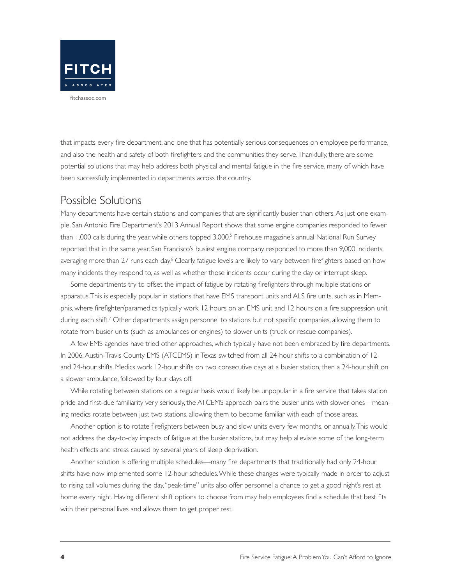

that impacts every fire department, and one that has potentially serious consequences on employee performance, and also the health and safety of both firefighters and the communities they serve. Thankfully, there are some potential solutions that may help address both physical and mental fatigue in the fire service, many of which have been successfully implemented in departments across the country.

#### Possible Solutions

Many departments have certain stations and companies that are significantly busier than others. As just one example, San Antonio Fire Department's 2013 Annual Report shows that some engine companies responded to fewer than 1,000 calls during the year, while others topped 3,000.<sup>5</sup> Firehouse magazine's annual National Run Survey reported that in the same year, San Francisco's busiest engine company responded to more than 9,000 incidents, averaging more than 27 runs each day.<sup>6</sup> Clearly, fatigue levels are likely to vary between firefighters based on how many incidents they respond to, as well as whether those incidents occur during the day or interrupt sleep.

Some departments try to offset the impact of fatigue by rotating firefighters through multiple stations or apparatus. This is especially popular in stations that have EMS transport units and ALS fire units, such as in Memphis, where firefighter/paramedics typically work 12 hours on an EMS unit and 12 hours on a fire suppression unit during each shift.<sup>7</sup> Other departments assign personnel to stations but not specific companies, allowing them to rotate from busier units (such as ambulances or engines) to slower units (truck or rescue companies).

A few EMS agencies have tried other approaches, which typically have not been embraced by fire departments. In 2006, Austin-Travis County EMS (ATCEMS) in Texas switched from all 24-hour shifts to a combination of 12 and 24-hour shifts. Medics work 12-hour shifts on two consecutive days at a busier station, then a 24-hour shift on a slower ambulance, followed by four days off.

While rotating between stations on a regular basis would likely be unpopular in a fire service that takes station pride and first-due familiarity very seriously, the ATCEMS approach pairs the busier units with slower ones—meaning medics rotate between just two stations, allowing them to become familiar with each of those areas.

Another option is to rotate firefighters between busy and slow units every few months, or annually. This would not address the day-to-day impacts of fatigue at the busier stations, but may help alleviate some of the long-term health effects and stress caused by several years of sleep deprivation.

Another solution is offering multiple schedules—many fire departments that traditionally had only 24-hour shifts have now implemented some 12-hour schedules. While these changes were typically made in order to adjust to rising call volumes during the day, "peak-time" units also offer personnel a chance to get a good night's rest at home every night. Having different shift options to choose from may help employees find a schedule that best fits with their personal lives and allows them to get proper rest.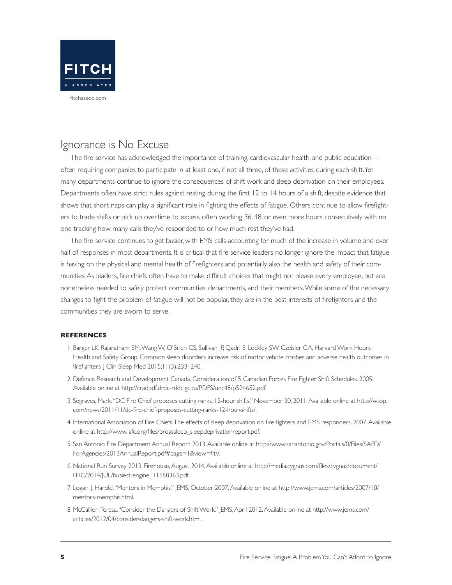

#### Ignorance is No Excuse

The fire service has acknowledged the importance of training, cardiovascular health, and public education often requiring companies to participate in at least one, if not all three, of these activities during each shift. Yet many departments continue to ignore the consequences of shift work and sleep deprivation on their employees. Departments often have strict rules against resting during the first 12 to 14 hours of a shift, despite evidence that shows that short naps can play a significant role in fighting the effects of fatigue. Others continue to allow firefighters to trade shifts or pick up overtime to excess, often working 36, 48, or even more hours consecutively with no one tracking how many calls they've responded to or how much rest they've had.

The fire service continues to get busier, with EMS calls accounting for much of the increase in volume and over half of responses in most departments. It is critical that fire service leaders no longer ignore the impact that fatigue is having on the physical and mental health of firefighters and potentially also the health and safety of their communities. As leaders, fire chiefs often have to make difficult choices that might not please every employee, but are nonetheless needed to safely protect communities, departments, and their members. While some of the necessary changes to fight the problem of fatigue will not be popular, they are in the best interests of firefighters and the communities they are sworn to serve.

#### **REFERENCES**

- 1. Barger LK, Rajaratnam SM, Wang W, O'Brien CS, Sullivan JP, Qadri S, Lockley SW, Czeisler CA, Harvard Work Hours, Health and Safety Group. Common sleep disorders increase risk of motor vehicle crashes and adverse health outcomes in firefighters. J Clin Sleep Med 2015;11(3):233–240.
- 2. Defence Research and Development Canada. Consideration of 5 Canadian Forces Fire Fighter Shift Schedules. 2005. Available online at http://cradpdf.drdc-rddc.gc.ca/PDFS/unc48/p524652.pdf.
- 3. Segraves, Mark. "DC Fire Chief proposes cutting ranks, 12-hour shifts." November 30, 2011. Available online at http://wtop. com/news/2011/11/dc-fire-chief-proposes-cutting-ranks-12-hour-shifts/.
- 4. International Association of Fire Chiefs. The effects of sleep deprivation on fire fighters and EMS responders. 2007. Available online at http://www.iafc.org/files/progssleep\_sleepdeprivationreport.pdf.
- 5. San Antonio Fire Department Annual Report 2013. Available online at http://www.sanantonio.gov/Portals/0/Files/SAFD/ ForAgencies/2013AnnualReport.pdf#page=1&view=fitV.
- 6. National Run Survey 2013. Firehouse, August 2014. Available online at http://media.cygnus.com/files/cygnus/document/ FHC/2014/JUL/busiest-engine\_11588363.pdf.
- 7. Logan, J. Harold. "Mentors in Memphis." JEMS, October 2007, Available online at http://www.jems.com/articles/2007/10/ mentors-memphis.html.
- 8. McCallion, Teresa. "Consider the Dangers of Shift Work." JEMS, April 2012. Available online at http://www.jems.com/ articles/2012/04/consider-dangers-shift-work.html.